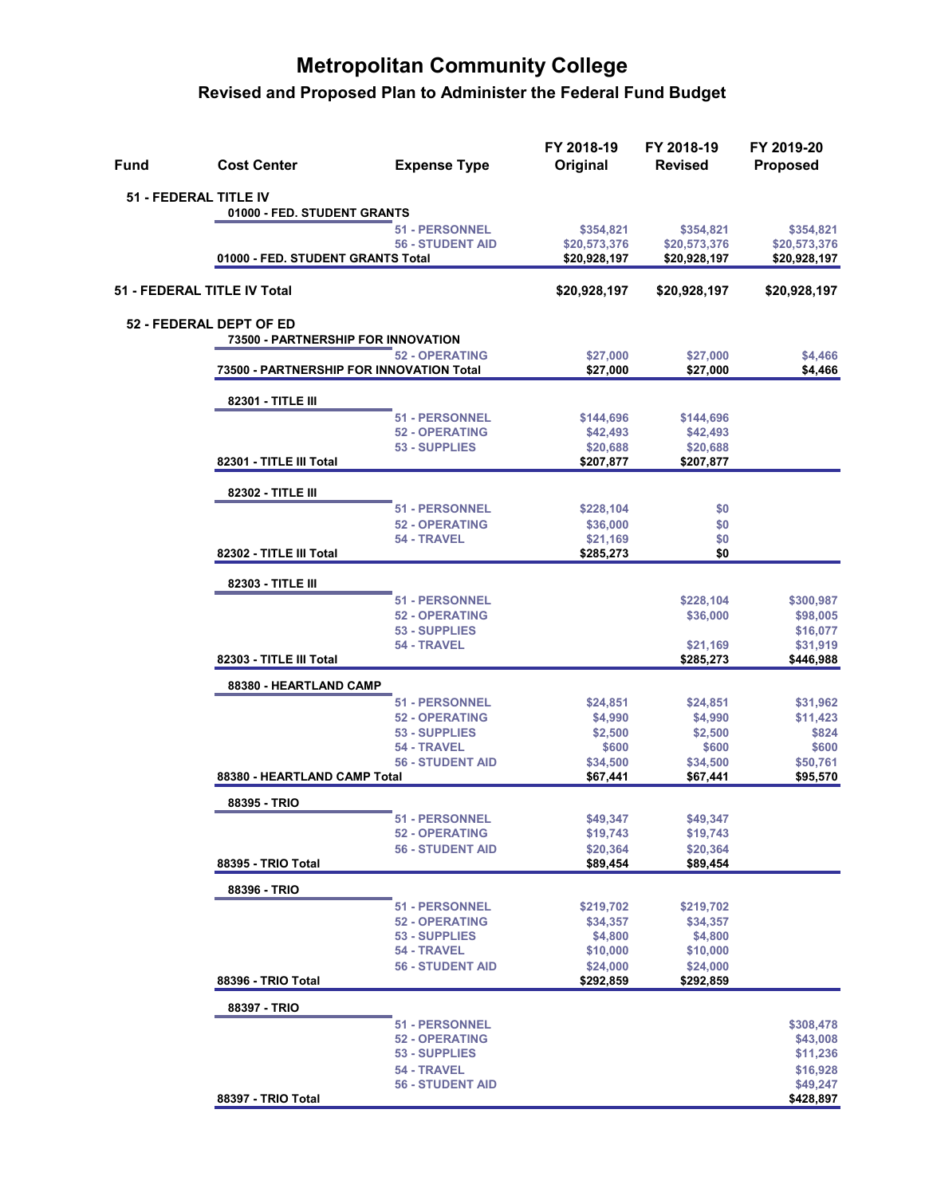| <b>Fund</b> | <b>Cost Center</b>                       | <b>Expense Type</b>                    | FY 2018-19<br>Original | FY 2018-19<br><b>Revised</b> | FY 2019-20<br><b>Proposed</b> |
|-------------|------------------------------------------|----------------------------------------|------------------------|------------------------------|-------------------------------|
|             | 51 - FEDERAL TITLE IV                    |                                        |                        |                              |                               |
|             | 01000 - FED. STUDENT GRANTS              |                                        |                        |                              |                               |
|             |                                          | 51 - PERSONNEL                         | \$354,821              | \$354,821                    | \$354,821                     |
|             |                                          | <b>56 - STUDENT AID</b>                | \$20,573,376           | \$20,573,376                 | \$20,573,376                  |
|             | 01000 - FED. STUDENT GRANTS Total        |                                        | \$20,928,197           | \$20,928,197                 | \$20,928,197                  |
|             | 51 - FEDERAL TITLE IV Total              |                                        | \$20,928,197           | \$20,928,197                 | \$20,928,197                  |
|             | 52 - FEDERAL DEPT OF ED                  |                                        |                        |                              |                               |
|             | 73500 - PARTNERSHIP FOR INNOVATION       |                                        |                        |                              |                               |
|             | 73500 - PARTNERSHIP FOR INNOVATION Total | <b>52 - OPERATING</b>                  | \$27,000<br>\$27,000   | \$27,000<br>\$27,000         | \$4,466<br>\$4,466            |
|             | 82301 - TITLE III                        |                                        |                        |                              |                               |
|             |                                          | <b>51 - PERSONNEL</b>                  | \$144,696              | \$144,696                    |                               |
|             |                                          | <b>52 - OPERATING</b>                  | \$42,493               | \$42,493                     |                               |
|             |                                          | 53 - SUPPLIES                          | \$20,688               | \$20,688                     |                               |
|             | 82301 - TITLE III Total                  |                                        | \$207,877              | \$207,877                    |                               |
|             | 82302 - TITLE III                        |                                        |                        |                              |                               |
|             |                                          | 51 - PERSONNEL                         | \$228,104              | \$0                          |                               |
|             |                                          | <b>52 - OPERATING</b>                  | \$36,000               | \$0                          |                               |
|             |                                          | 54 - TRAVEL                            | \$21,169               | \$0                          |                               |
|             | 82302 - TITLE III Total                  |                                        | \$285,273              | \$0                          |                               |
|             | 82303 - TITLE III                        |                                        |                        |                              |                               |
|             |                                          | <b>51 - PERSONNEL</b>                  |                        | \$228,104                    | \$300,987                     |
|             |                                          | <b>52 - OPERATING</b>                  |                        | \$36,000                     | \$98,005                      |
|             |                                          | 53 - SUPPLIES<br>54 - TRAVEL           |                        | \$21,169                     | \$16,077<br>\$31,919          |
|             | 82303 - TITLE III Total                  |                                        |                        | \$285,273                    | \$446,988                     |
|             | 88380 - HEARTLAND CAMP                   |                                        |                        |                              |                               |
|             |                                          | <b>51 - PERSONNEL</b>                  | \$24,851               | \$24,851                     | \$31,962                      |
|             |                                          | <b>52 - OPERATING</b>                  | \$4,990                | \$4,990                      | \$11,423                      |
|             |                                          | 53 - SUPPLIES                          | \$2,500                | \$2,500                      | \$824                         |
|             |                                          | 54 - TRAVEL                            | \$600                  | \$600                        | \$600                         |
|             | 88380 - HEARTLAND CAMP Total             | <b>56 - STUDENT AID</b>                | \$34,500<br>\$67,441   | \$34,500<br>\$67,441         | \$50,761<br>\$95,570          |
|             | 88395 - TRIO                             |                                        |                        |                              |                               |
|             |                                          | 51 - PERSONNEL                         | \$49,347               | \$49,347                     |                               |
|             |                                          | <b>52 - OPERATING</b>                  | \$19,743               | \$19,743                     |                               |
|             |                                          | <b>56 - STUDENT AID</b>                | \$20,364               | \$20,364                     |                               |
|             | 88395 - TRIO Total                       |                                        | \$89,454               | \$89,454                     |                               |
|             | 88396 - TRIO                             |                                        |                        |                              |                               |
|             |                                          | <b>51 - PERSONNEL</b>                  | \$219,702              | \$219,702                    |                               |
|             |                                          | <b>52 - OPERATING</b>                  | \$34,357               | \$34,357                     |                               |
|             |                                          | 53 - SUPPLIES<br>54 - TRAVEL           | \$4,800<br>\$10,000    | \$4,800<br>\$10,000          |                               |
|             |                                          | <b>56 - STUDENT AID</b>                | \$24,000               | \$24,000                     |                               |
|             | 88396 - TRIO Total                       |                                        | \$292,859              | \$292,859                    |                               |
|             | 88397 - TRIO                             |                                        |                        |                              |                               |
|             |                                          | <b>51 - PERSONNEL</b>                  |                        |                              | \$308,478                     |
|             |                                          | <b>52 - OPERATING</b>                  |                        |                              | \$43,008                      |
|             |                                          | 53 - SUPPLIES                          |                        |                              | \$11,236                      |
|             |                                          | 54 - TRAVEL<br><b>56 - STUDENT AID</b> |                        |                              | \$16,928<br>\$49,247          |
|             | 88397 - TRIO Total                       |                                        |                        |                              | \$428,897                     |
|             |                                          |                                        |                        |                              |                               |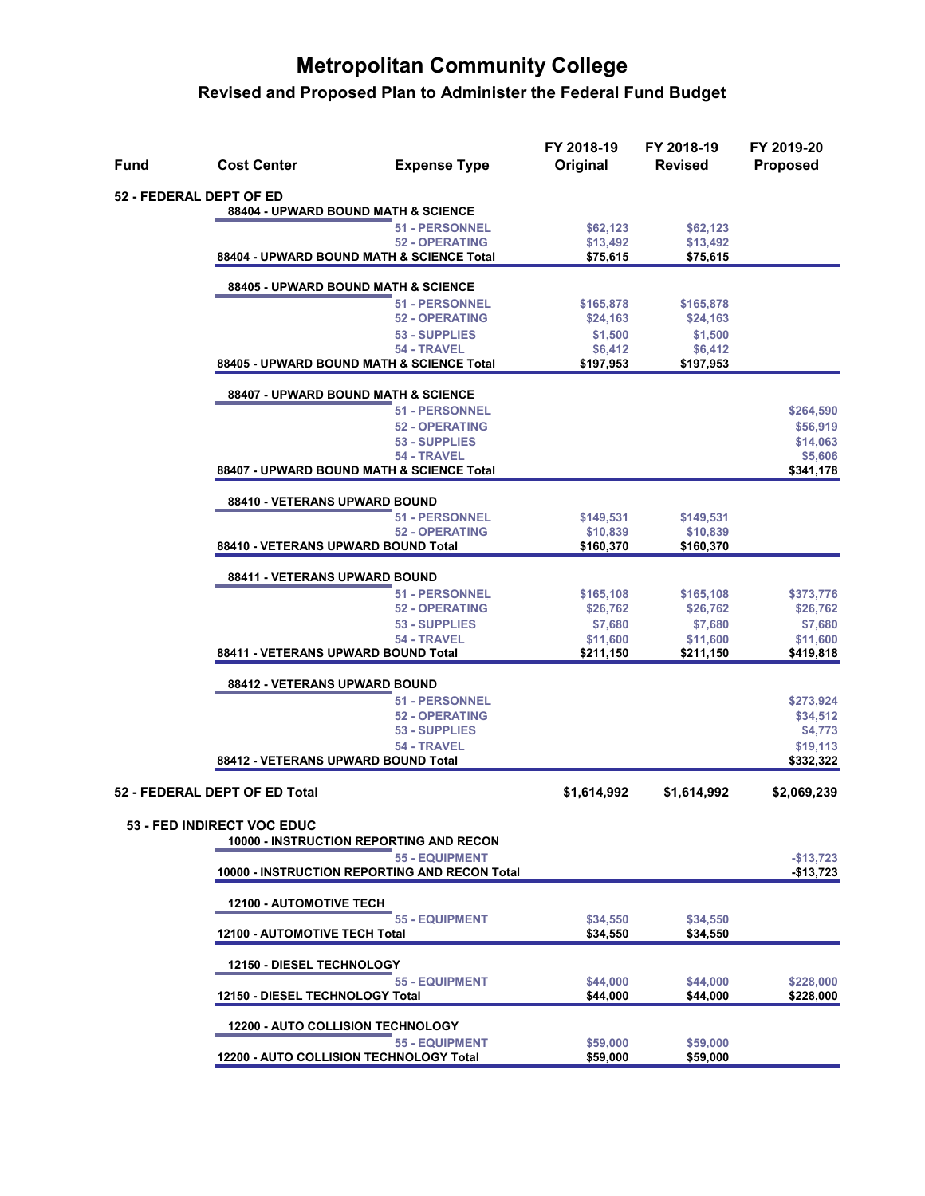| Fund                          | <b>Cost Center</b><br><b>Expense Type</b>                                    | FY 2018-19<br>Original | FY 2018-19<br><b>Revised</b> | FY 2019-20<br><b>Proposed</b> |
|-------------------------------|------------------------------------------------------------------------------|------------------------|------------------------------|-------------------------------|
|                               | <b>52 - FEDERAL DEPT OF ED</b>                                               |                        |                              |                               |
|                               | 88404 - UPWARD BOUND MATH & SCIENCE                                          |                        |                              |                               |
|                               | <b>51 - PERSONNEL</b><br><b>52 - OPERATING</b>                               | \$62,123<br>\$13,492   | \$62,123<br>\$13,492         |                               |
|                               | 88404 - UPWARD BOUND MATH & SCIENCE Total                                    | \$75,615               | \$75,615                     |                               |
|                               | 88405 - UPWARD BOUND MATH & SCIENCE                                          |                        |                              |                               |
|                               | <b>51 - PERSONNEL</b>                                                        | \$165,878              | \$165,878                    |                               |
|                               | <b>52 - OPERATING</b>                                                        | \$24,163               | \$24,163                     |                               |
|                               | 53 - SUPPLIES<br>54 - TRAVEL                                                 | \$1,500<br>\$6,412     | \$1,500<br>\$6,412           |                               |
|                               | 88405 - UPWARD BOUND MATH & SCIENCE Total                                    | \$197,953              | \$197,953                    |                               |
|                               | 88407 - UPWARD BOUND MATH & SCIENCE                                          |                        |                              |                               |
|                               | <b>51 - PERSONNEL</b>                                                        |                        |                              | \$264,590                     |
|                               | <b>52 - OPERATING</b>                                                        |                        |                              | \$56,919                      |
|                               | 53 - SUPPLIES<br>54 - TRAVEL                                                 |                        |                              | \$14,063<br>\$5,606           |
|                               | 88407 - UPWARD BOUND MATH & SCIENCE Total                                    |                        |                              | \$341,178                     |
|                               | 88410 - VETERANS UPWARD BOUND                                                |                        |                              |                               |
|                               | <b>51 - PERSONNEL</b>                                                        | \$149,531              | \$149,531                    |                               |
|                               | <b>52 - OPERATING</b>                                                        | \$10,839               | \$10,839                     |                               |
|                               | 88410 - VETERANS UPWARD BOUND Total                                          | \$160,370              | \$160,370                    |                               |
|                               | 88411 - VETERANS UPWARD BOUND<br><b>51 - PERSONNEL</b>                       | \$165,108              | \$165,108                    | \$373,776                     |
|                               | <b>52 - OPERATING</b>                                                        | \$26,762               | \$26,762                     | \$26,762                      |
|                               | 53 - SUPPLIES                                                                | \$7,680                | \$7,680                      | \$7,680                       |
|                               | 54 - TRAVEL                                                                  | \$11,600               | \$11,600                     | \$11,600                      |
|                               | 88411 - VETERANS UPWARD BOUND Total                                          | \$211,150              | \$211,150                    | \$419,818                     |
|                               | 88412 - VETERANS UPWARD BOUND                                                |                        |                              |                               |
|                               | <b>51 - PERSONNEL</b><br><b>52 - OPERATING</b>                               |                        |                              | \$273,924<br>\$34,512         |
|                               | 53 - SUPPLIES                                                                |                        |                              | \$4,773                       |
|                               | 54 - TRAVEL                                                                  |                        |                              | \$19,113                      |
|                               | 88412 - VETERANS UPWARD BOUND Total                                          |                        |                              | \$332,322                     |
| 52 - FEDERAL DEPT OF ED Total |                                                                              | \$1,614,992            | \$1,614,992                  | \$2,069,239                   |
|                               | <b>53 - FED INDIRECT VOC EDUC</b><br>10000 - INSTRUCTION REPORTING AND RECON |                        |                              |                               |
|                               | <b>55 - EQUIPMENT</b>                                                        |                        |                              | $-$13,723$                    |
|                               | 10000 - INSTRUCTION REPORTING AND RECON Total                                |                        |                              | $-$13,723$                    |
|                               | <b>12100 - AUTOMOTIVE TECH</b>                                               |                        |                              |                               |
|                               | <b>55 - EQUIPMENT</b><br>12100 - AUTOMOTIVE TECH Total                       | \$34,550<br>\$34,550   | \$34,550<br>\$34,550         |                               |
|                               | <b>12150 - DIESEL TECHNOLOGY</b>                                             |                        |                              |                               |
|                               | <b>55 - EQUIPMENT</b>                                                        | \$44,000               | \$44,000                     | \$228,000                     |
|                               | 12150 - DIESEL TECHNOLOGY Total                                              | \$44,000               | \$44,000                     | \$228,000                     |
|                               | <b>12200 - AUTO COLLISION TECHNOLOGY</b>                                     |                        |                              |                               |
|                               | <b>55 - EQUIPMENT</b><br>12200 - AUTO COLLISION TECHNOLOGY Total             | \$59,000<br>\$59,000   | \$59,000<br>\$59,000         |                               |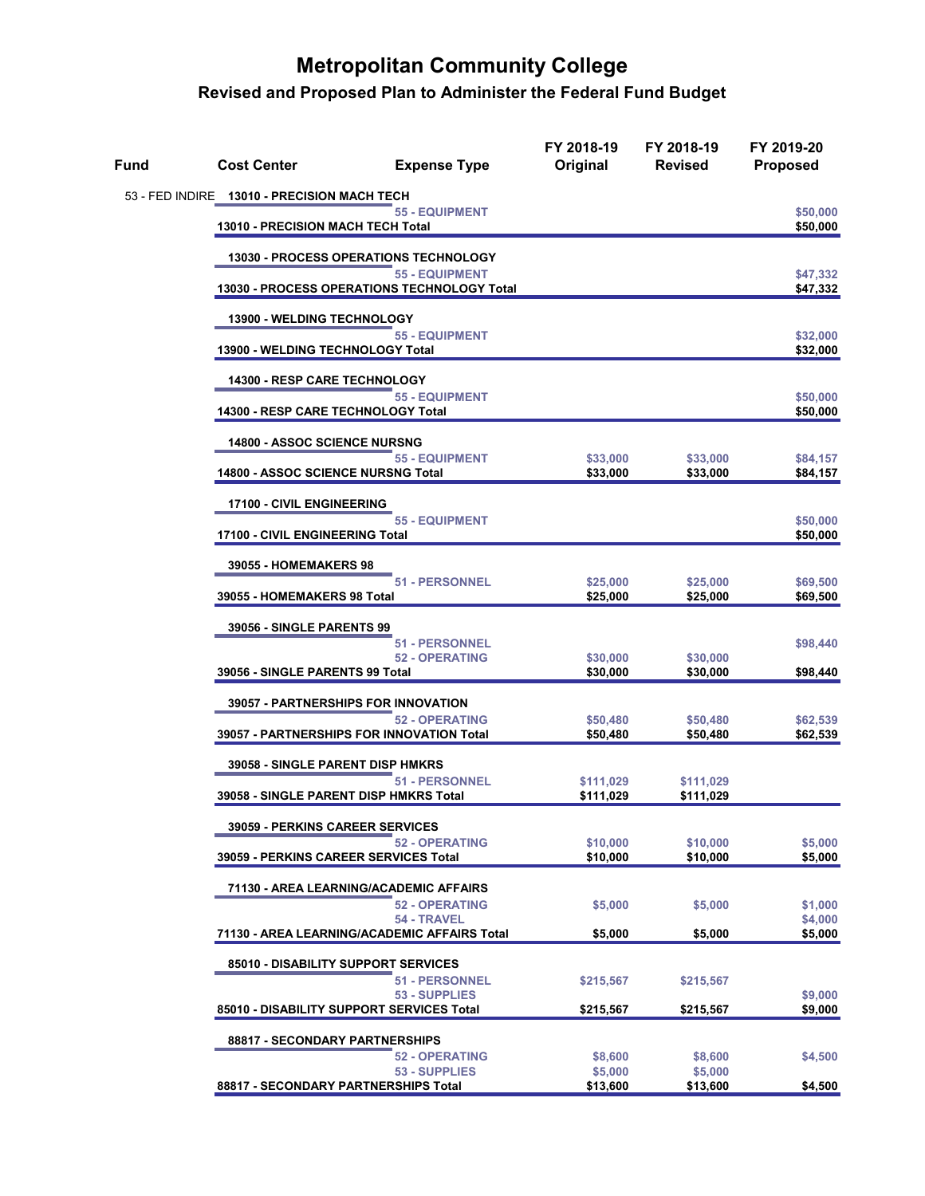| Fund | <b>Cost Center</b>                           | <b>Expense Type</b>                                                  | FY 2018-19<br>Original | FY 2018-19<br><b>Revised</b> | FY 2019-20<br><b>Proposed</b> |
|------|----------------------------------------------|----------------------------------------------------------------------|------------------------|------------------------------|-------------------------------|
|      | 53 - FED INDIRE 13010 - PRECISION MACH TECH  |                                                                      |                        |                              |                               |
|      | 13010 - PRECISION MACH TECH Total            |                                                                      |                        | \$50,000<br>\$50,000         |                               |
|      | <b>13030 - PROCESS OPERATIONS TECHNOLOGY</b> |                                                                      |                        |                              |                               |
|      |                                              | <b>55 - EQUIPMENT</b><br>13030 - PROCESS OPERATIONS TECHNOLOGY Total |                        |                              | \$47,332<br>\$47,332          |
|      | <b>13900 - WELDING TECHNOLOGY</b>            |                                                                      |                        |                              |                               |
|      | 13900 - WELDING TECHNOLOGY Total             | <b>55 - EQUIPMENT</b>                                                |                        |                              | \$32,000<br>\$32,000          |
|      | 14300 - RESP CARE TECHNOLOGY                 |                                                                      |                        |                              |                               |
|      | 14300 - RESP CARE TECHNOLOGY Total           | <b>55 - EQUIPMENT</b>                                                |                        |                              | \$50,000<br>\$50,000          |
|      | <b>14800 - ASSOC SCIENCE NURSNG</b>          |                                                                      |                        |                              |                               |
|      | <b>14800 - ASSOC SCIENCE NURSNG Total</b>    | <b>55 - EQUIPMENT</b>                                                | \$33,000<br>\$33,000   | \$33,000<br>\$33,000         | \$84,157<br>\$84,157          |
|      | 17100 - CIVIL ENGINEERING                    |                                                                      |                        |                              |                               |
|      | 17100 - CIVIL ENGINEERING Total              | <b>55 - EQUIPMENT</b>                                                |                        |                              | \$50,000<br>\$50,000          |
|      | 39055 - HOMEMAKERS 98                        |                                                                      |                        |                              |                               |
|      | 39055 - HOMEMAKERS 98 Total                  | 51 - PERSONNEL                                                       | \$25,000<br>\$25,000   | \$25,000<br>\$25,000         | \$69,500<br>\$69,500          |
|      | <b>39056 - SINGLE PARENTS 99</b>             |                                                                      |                        |                              |                               |
|      |                                              | <b>51 - PERSONNEL</b><br><b>52 - OPERATING</b>                       | \$30,000               | \$30,000                     | \$98,440                      |
|      | 39056 - SINGLE PARENTS 99 Total              |                                                                      | \$30,000               | \$30,000                     | \$98,440                      |
|      |                                              | 39057 - PARTNERSHIPS FOR INNOVATION<br><b>52 - OPERATING</b>         | \$50,480               | \$50,480                     | \$62,539                      |
|      |                                              | 39057 - PARTNERSHIPS FOR INNOVATION Total                            | \$50,480               | \$50,480                     | \$62,539                      |
|      | <b>39058 - SINGLE PARENT DISP HMKRS</b>      | <b>51 - PERSONNEL</b>                                                | \$111,029              | \$111,029                    |                               |
|      | 39058 - SINGLE PARENT DISP HMKRS Total       |                                                                      | \$111,029              | \$111,029                    |                               |
|      | <b>39059 - PERKINS CAREER SERVICES</b>       | <b>52 - OPERATING</b>                                                | \$10,000               | \$10,000                     | \$5,000                       |
|      | 39059 - PERKINS CAREER SERVICES Total        |                                                                      | \$10,000               | \$10,000                     | \$5,000                       |
|      |                                              | 71130 - AREA LEARNING/ACADEMIC AFFAIRS                               |                        |                              |                               |
|      |                                              | <b>52 - OPERATING</b><br>54 - TRAVEL                                 | \$5,000                | \$5,000                      | \$1,000<br>\$4,000            |
|      |                                              | 71130 - AREA LEARNING/ACADEMIC AFFAIRS Total                         | \$5,000                | \$5,000                      | \$5,000                       |
|      | 85010 - DISABILITY SUPPORT SERVICES          |                                                                      |                        |                              |                               |
|      |                                              | <b>51 - PERSONNEL</b><br>53 - SUPPLIES                               | \$215,567              | \$215,567                    | \$9,000                       |
|      |                                              | 85010 - DISABILITY SUPPORT SERVICES Total                            | \$215,567              | \$215,567                    | \$9,000                       |
|      | 88817 - SECONDARY PARTNERSHIPS               | <b>52 - OPERATING</b>                                                | \$8,600                | \$8,600                      | \$4,500                       |
|      |                                              | 53 - SUPPLIES                                                        | \$5,000                | \$5,000                      |                               |
|      | 88817 - SECONDARY PARTNERSHIPS Total         |                                                                      | \$13,600               | \$13,600                     | \$4,500                       |